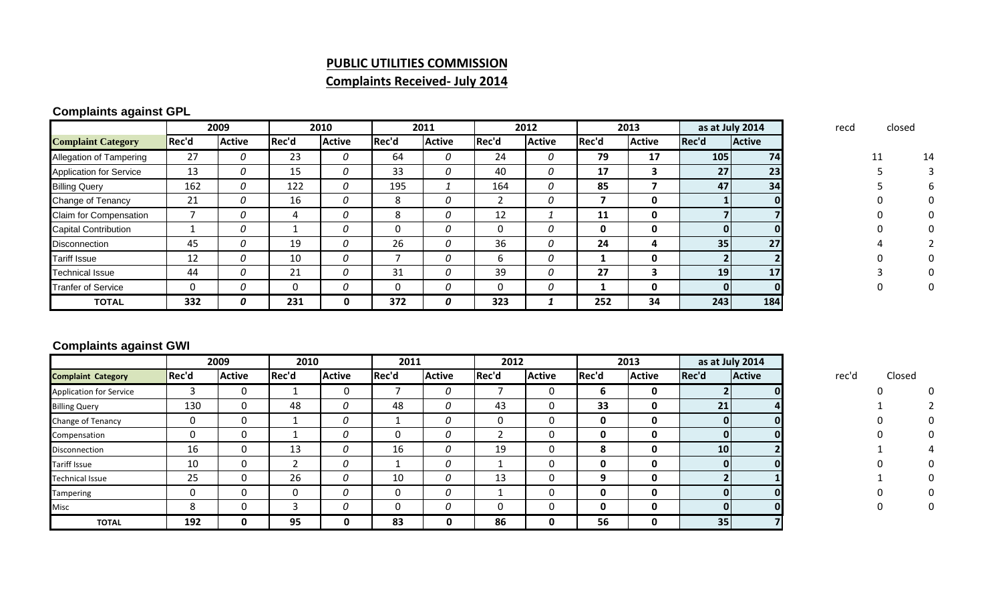#### **PUBLIC UTILITIES COMMISSION**

# **Complaints Received‐ July 2014**

## **Complaints against GPL**

|                                |       | 2009          | 2010  |               |          | 2011          |       | 2012          |       | 2013          |                 | as at July 2014 | recd | closed |    |
|--------------------------------|-------|---------------|-------|---------------|----------|---------------|-------|---------------|-------|---------------|-----------------|-----------------|------|--------|----|
| <b>Complaint Category</b>      | Rec'd | <b>Active</b> | Rec'd | <b>Active</b> | Rec'd    | <b>Active</b> | Rec'd | <b>Active</b> | Rec'd | <b>Active</b> | Rec'd           | <b>Active</b>   |      |        |    |
| <b>Allegation of Tampering</b> | 27    | 0             | 23    | 0             | 64       |               | 24    | 0             | 79    | 17            | 105             | <b>74</b>       |      |        | 14 |
| <b>Application for Service</b> | 13    | 0             | 15    | 0             | 33       |               | 40    | 0             | 17    |               | 27 <sup>1</sup> | 23              |      |        |    |
| <b>Billing Query</b>           | 162   | 0             | 122   | 0             | 195      |               | 164   | 0             | 85    |               | 47              | 34              |      |        |    |
| <b>Change of Tenancy</b>       | 21    | 0             | 16    | 0             | 8        |               |       | 0             |       | 0             |                 |                 |      |        |    |
| <b>Claim for Compensation</b>  |       | 0             |       | 0             | 8        | 0             | 12    |               | 11    | 0             |                 |                 |      |        |    |
| <b>Capital Contribution</b>    |       | 0             |       | 0             |          |               | 0     | 0             |       | 0             |                 |                 |      |        |    |
| <b>Disconnection</b>           | 45    | 0             | 19    | 0             | 26       |               | 36    | 0             | 24    | 4             | 35 <sub>1</sub> | 27              |      |        |    |
| <b>Tariff Issue</b>            | 12    | 0             | 10    | 0             |          |               | 6     | 0             |       | 0             |                 |                 |      |        |    |
| <b>Technical Issue</b>         | 44    | 0             | 21    | 0             | 31       |               | 39    | 0             | 27    |               | 19 <sup>1</sup> | 17 <sup>1</sup> |      |        |    |
| <b>Tranfer of Service</b>      | 0     | 0             |       | 0             | $\Omega$ | 0             | 0     | 0             |       | 0             |                 |                 |      |        |    |
| <b>TOTAL</b>                   | 332   | 0             | 231   | 0             | 372      | 0             | 323   |               | 252   | 34            | 243             | 184             |      |        |    |

## **Complaints against GWI**

|                                |       | 2009          | 2010  |               | 2011  |               | 2012     |               | 2013  |               | as at July 2014 |               |       |        |  |
|--------------------------------|-------|---------------|-------|---------------|-------|---------------|----------|---------------|-------|---------------|-----------------|---------------|-------|--------|--|
| <b>Complaint Category</b>      | Rec'd | <b>Active</b> | Rec'd | <b>Active</b> | Rec'd | <b>Active</b> | Rec'd    | <b>Active</b> | Rec'd | <b>Active</b> | Rec'd           | <b>Active</b> | rec'd | Closed |  |
| <b>Application for Service</b> | э     | 0             |       | 0             |       | 0             |          | 0             | O     | 0             |                 |               |       |        |  |
| <b>Billing Query</b>           | 130   | 0             | 48    | 0             | 48    | 0             | 43       | 0             | 33    | 0             | 21              |               |       |        |  |
| Change of Tenancy              | 0     | 0             |       | 0             |       | 0             | 0        | 0             |       | 0             |                 | 01            |       |        |  |
| Compensation                   | 0     | 0             |       | 0             | 0     | 0             |          | 0             |       | 0             |                 | ΩI            |       |        |  |
| Disconnection                  | 16    | 0             | 13    | 0             | 16    | 0             | 19       | 0             | δ.    | 0             | <b>10</b>       |               |       |        |  |
| <b>Tariff Issue</b>            | 10    | 0             |       | 0             |       | 0             |          | 0             | 0     | 0             | n               |               |       |        |  |
| <b>Technical Issue</b>         | 25    | 0             | 26    | 0             | 10    | 0             | 13       | 0             |       | 0             |                 |               |       |        |  |
| <b>Tampering</b>               | 0     | 0             |       | 0             | 0     | 0             |          | 0             | 0     | 0             | 0               |               |       |        |  |
| Misc                           | 8     | 0             |       | 0             | 0     | 0             | $\Omega$ | 0             | 0     | 0             | $\Omega$        |               |       |        |  |
| <b>TOTAL</b>                   | 192   | 0             | 95    | 0             | 83    | 0             | 86       | 0             | 56    | 0             | 35 <sub>1</sub> |               |       |        |  |